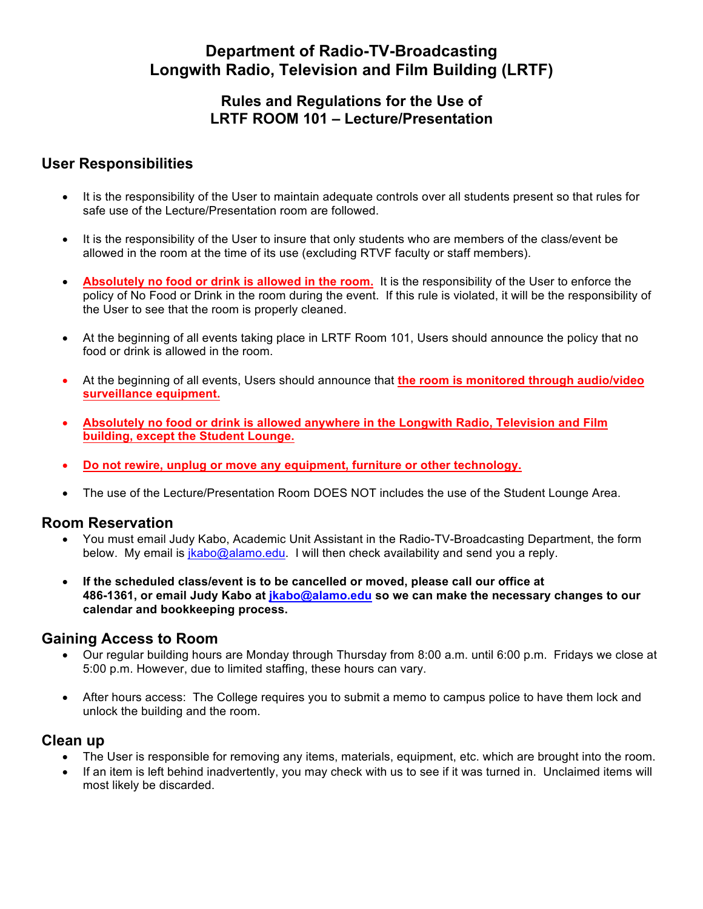# **Department of Radio-TV-Broadcasting Longwith Radio, Television and Film Building (LRTF)**

### **Rules and Regulations for the Use of LRTF ROOM 101 – Lecture/Presentation**

## **User Responsibilities**

- It is the responsibility of the User to maintain adequate controls over all students present so that rules for safe use of the Lecture/Presentation room are followed.
- It is the responsibility of the User to insure that only students who are members of the class/event be allowed in the room at the time of its use (excluding RTVF faculty or staff members).
- **Absolutely no food or drink is allowed in the room.** It is the responsibility of the User to enforce the policy of No Food or Drink in the room during the event. If this rule is violated, it will be the responsibility of the User to see that the room is properly cleaned.
- At the beginning of all events taking place in LRTF Room 101, Users should announce the policy that no food or drink is allowed in the room.
- At the beginning of all events, Users should announce that **the room is monitored through audio/video surveillance equipment.**
- **Absolutely no food or drink is allowed anywhere in the Longwith Radio, Television and Film building, except the Student Lounge.**
- **Do not rewire, unplug or move any equipment, furniture or other technology.**
- The use of the Lecture/Presentation Room DOES NOT includes the use of the Student Lounge Area.

#### **Room Reservation**

- You must email Judy Kabo, Academic Unit Assistant in the Radio-TV-Broadcasting Department, the form below. My email is jkabo@alamo.edu. I will then check availability and send you a reply.
- **If the scheduled class/event is to be cancelled or moved, please call our office at 486-1361, or email Judy Kabo at jkabo@alamo.edu so we can make the necessary changes to our calendar and bookkeeping process.**

#### **Gaining Access to Room**

- Our regular building hours are Monday through Thursday from 8:00 a.m. until 6:00 p.m. Fridays we close at 5:00 p.m. However, due to limited staffing, these hours can vary.
- After hours access: The College requires you to submit a memo to campus police to have them lock and unlock the building and the room.

#### **Clean up**

- The User is responsible for removing any items, materials, equipment, etc. which are brought into the room.
- If an item is left behind inadvertently, you may check with us to see if it was turned in. Unclaimed items will most likely be discarded.